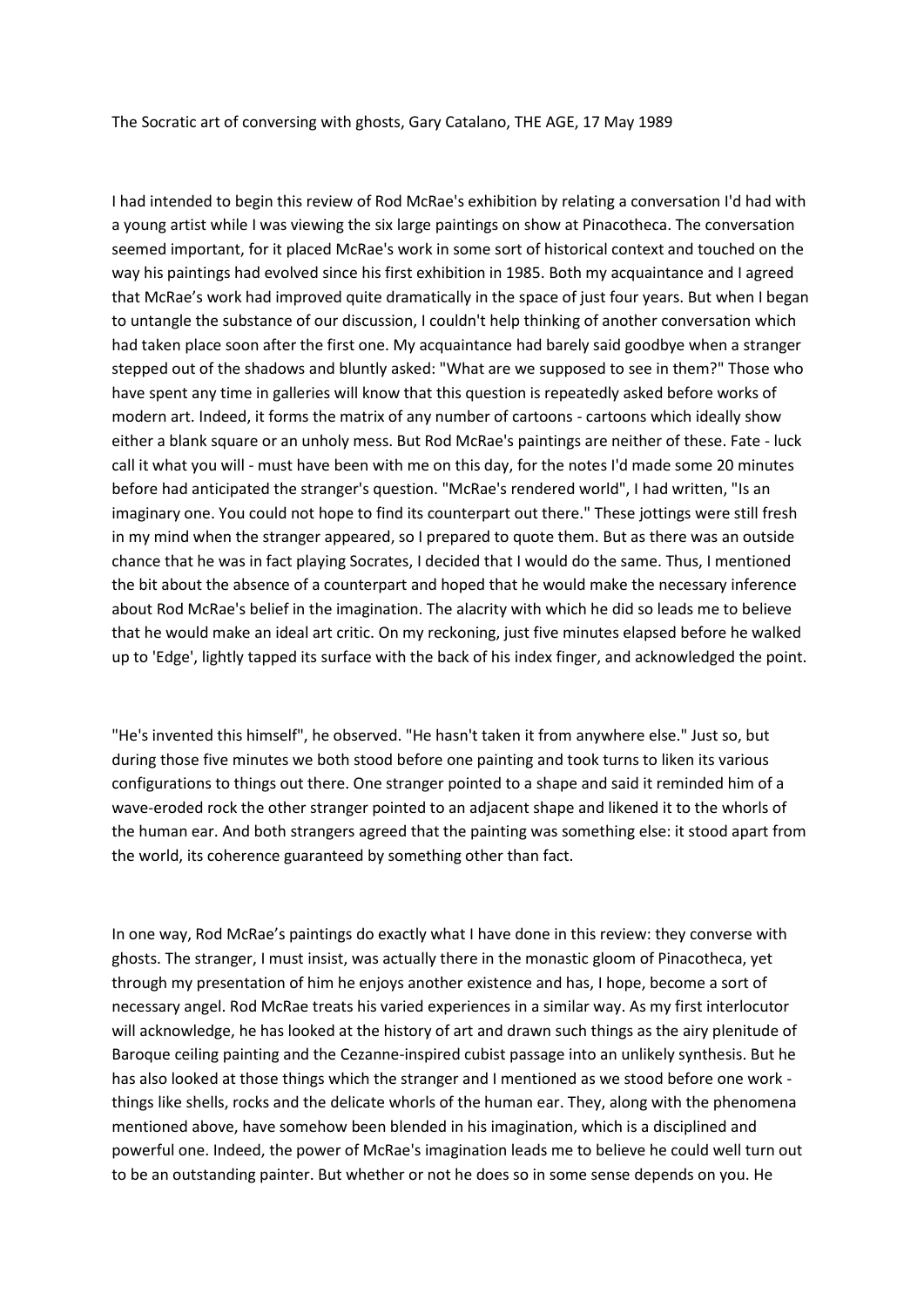The Socratic art of conversing with ghosts, Gary Catalano, THE AGE, 17 May 1989

I had intended to begin this review of Rod McRae's exhibition by relating a conversation I'd had with a young artist while I was viewing the six large paintings on show at Pinacotheca. The conversation seemed important, for it placed McRae's work in some sort of historical context and touched on the way his paintings had evolved since his first exhibition in 1985. Both my acquaintance and I agreed that McRae's work had improved quite dramatically in the space of just four years. But when I began to untangle the substance of our discussion, I couldn't help thinking of another conversation which had taken place soon after the first one. My acquaintance had barely said goodbye when a stranger stepped out of the shadows and bluntly asked: "What are we supposed to see in them?" Those who have spent any time in galleries will know that this question is repeatedly asked before works of modern art. Indeed, it forms the matrix of any number of cartoons - cartoons which ideally show either a blank square or an unholy mess. But Rod McRae's paintings are neither of these. Fate - luck call it what you will - must have been with me on this day, for the notes I'd made some 20 minutes before had anticipated the stranger's question. "McRae's rendered world", I had written, "Is an imaginary one. You could not hope to find its counterpart out there." These jottings were still fresh in my mind when the stranger appeared, so I prepared to quote them. But as there was an outside chance that he was in fact playing Socrates, I decided that I would do the same. Thus, I mentioned the bit about the absence of a counterpart and hoped that he would make the necessary inference about Rod McRae's belief in the imagination. The alacrity with which he did so leads me to believe that he would make an ideal art critic. On my reckoning, just five minutes elapsed before he walked up to 'Edge', lightly tapped its surface with the back of his index finger, and acknowledged the point.

"He's invented this himself", he observed. "He hasn't taken it from anywhere else." Just so, but during those five minutes we both stood before one painting and took turns to liken its various configurations to things out there. One stranger pointed to a shape and said it reminded him of a wave-eroded rock the other stranger pointed to an adjacent shape and likened it to the whorls of the human ear. And both strangers agreed that the painting was something else: it stood apart from the world, its coherence guaranteed by something other than fact.

In one way, Rod McRae's paintings do exactly what I have done in this review: they converse with ghosts. The stranger, I must insist, was actually there in the monastic gloom of Pinacotheca, yet through my presentation of him he enjoys another existence and has, I hope, become a sort of necessary angel. Rod McRae treats his varied experiences in a similar way. As my first interlocutor will acknowledge, he has looked at the history of art and drawn such things as the airy plenitude of Baroque ceiling painting and the Cezanne-inspired cubist passage into an unlikely synthesis. But he has also looked at those things which the stranger and I mentioned as we stood before one work things like shells, rocks and the delicate whorls of the human ear. They, along with the phenomena mentioned above, have somehow been blended in his imagination, which is a disciplined and powerful one. Indeed, the power of McRae's imagination leads me to believe he could well turn out to be an outstanding painter. But whether or not he does so in some sense depends on you. He